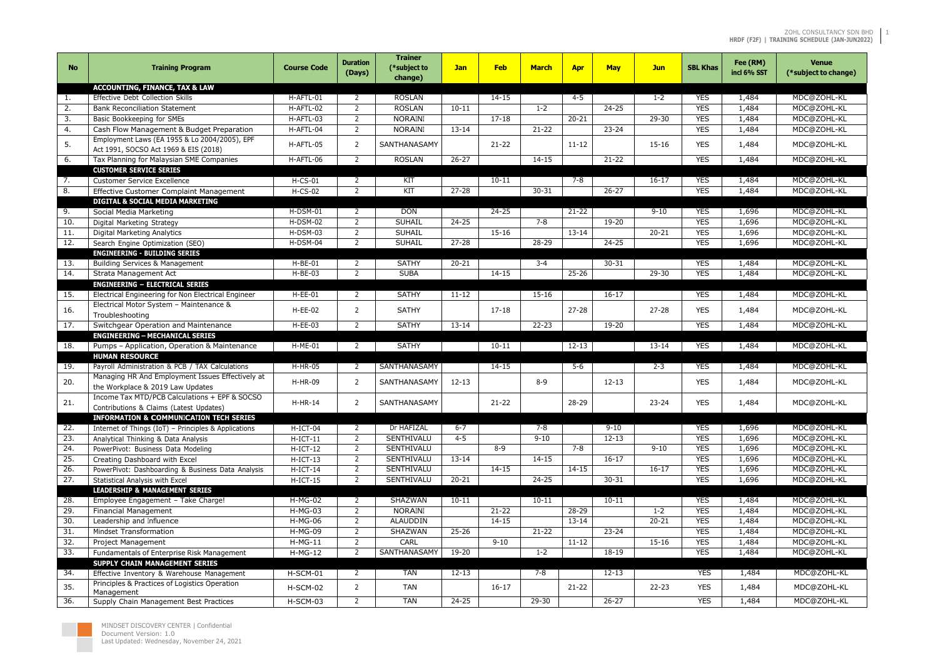#### ZOHL CONSULTANCY SDN BHD 1 **HRDF (F2F) | TRAINING SCHEDULE (JAN-JUN2022)**

| <b>No</b>         | <b>Training Program</b>                                                                | <b>Course Code</b>     | <b>Duration</b><br>(Days) | <b>Trainer</b><br>(*subject to<br>change) | <b>Jan</b>           | <b>Feb</b> | <b>March</b> | <b>Apr</b> | <b>May</b> | <b>Jun</b> | <b>SBL Khas</b>          | Fee (RM)<br>incl 6% SST | <b>Venue</b><br>(*subject to change) |
|-------------------|----------------------------------------------------------------------------------------|------------------------|---------------------------|-------------------------------------------|----------------------|------------|--------------|------------|------------|------------|--------------------------|-------------------------|--------------------------------------|
|                   | <b>ACCOUNTING, FINANCE, TAX &amp; LAW</b>                                              |                        |                           |                                           |                      |            |              |            |            |            |                          |                         |                                      |
| 1.                | <b>Effective Debt Collection Skills</b>                                                | H-AFTL-01              | 2                         | <b>ROSLAN</b>                             |                      | $14 - 15$  |              | 4-5        |            | $1 - 2$    | <b>YES</b>               | 1,484                   | MDC@ZOHL-KL                          |
| 2.                | <b>Bank Reconciliation Statement</b>                                                   | H-AFTL-02              | $\overline{2}$            | <b>ROSLAN</b>                             | $10 - 11$            |            | $1 - 2$      |            | $24 - 25$  |            | <b>YES</b>               | 1,484                   | MDC@ZOHL-KL                          |
| 3.                | Basic Bookkeeping for SMEs                                                             | H-AFTL-03              | 2                         | <b>NORAINI</b>                            |                      | $17 - 18$  |              | $20 - 21$  |            | $29 - 30$  | <b>YES</b>               | 1,484                   | MDC@ZOHL-KL                          |
| 4.                | Cash Flow Management & Budget Preparation                                              | H-AFTL-04              | 2                         | <b>NORAINI</b>                            | $13 - 14$            |            | $21 - 22$    |            | $23 - 24$  |            | <b>YES</b>               | 1,484                   | MDC@ZOHL-KL                          |
| 5.                | Employment Laws (EA 1955 & Lo 2004/2005), EPF<br>Act 1991, SOCSO Act 1969 & EIS (2018) | H-AFTL-05              | -2                        | SANTHANASAMY                              |                      | $21 - 22$  |              | $11 - 12$  |            | $15 - 16$  | <b>YES</b>               | 1,484                   | MDC@ZOHL-KL                          |
| 6.                | Tax Planning for Malaysian SME Companies                                               | H-AFTL-06              | 2                         | <b>ROSLAN</b>                             | $26 - 27$            |            | 14-15        |            | $21 - 22$  |            | <b>YES</b>               | 1,484                   | MDC@ZOHL-KL                          |
|                   | <b>CUSTOMER SERVICE SERIES</b>                                                         |                        |                           |                                           |                      |            |              |            |            |            |                          |                         |                                      |
| 7.                | <b>Customer Service Excellence</b>                                                     | $H-CS-01$              | 2                         | KIT                                       |                      | $10 - 11$  |              | 7-8        |            | $16-17$    | <b>YES</b>               | 1,484                   | MDC@ZOHL-KL                          |
| 8.                | Effective Customer Complaint Management                                                | $H-CS-02$              | $\overline{2}$            | KIT                                       | $27 - 28$            |            | $30 - 31$    |            | $26 - 27$  |            | <b>YES</b>               | 1,484                   | MDC@ZOHL-KL                          |
|                   | <b>DIGITAL &amp; SOCIAL MEDIA MARKETING</b>                                            |                        |                           |                                           |                      |            |              |            |            |            |                          |                         |                                      |
| 9.                | Social Media Marketing                                                                 | $H-DSM-01$             | 2                         | <b>DON</b>                                |                      | $24 - 25$  |              | $21 - 22$  |            | $9 - 10$   | <b>YES</b>               | 1,696                   | MDC@ZOHL-KL                          |
| 10.               | Digital Marketing Strategy                                                             | $H-DSM-02$             | 2                         | <b>SUHAIL</b>                             | $24 - 25$            |            | $7 - 8$      |            | 19-20      |            | <b>YES</b>               | 1,696                   | MDC@ZOHL-KL                          |
| 11.               | <b>Digital Marketing Analytics</b>                                                     | $H-DSM-03$             | 2                         | <b>SUHAIL</b>                             |                      | $15 - 16$  |              | $13 - 14$  |            | $20 - 21$  | <b>YES</b>               | 1,696                   | MDC@ZOHL-KL                          |
| 12.               | Search Engine Optimization (SEO)                                                       | H-DSM-04               | 2                         | <b>SUHAIL</b>                             | $27 - 28$            |            | 28-29        |            | $24 - 25$  |            | <b>YES</b>               | 1,696                   | MDC@ZOHL-KL                          |
|                   | <b>ENGINEERING - BUILDING SERIES</b>                                                   |                        |                           |                                           |                      |            |              |            |            |            |                          |                         |                                      |
| 13.               | Building Services & Management                                                         | $H-BE-01$              | 2                         | <b>SATHY</b>                              | $20 - 21$            |            | $3 - 4$      |            | $30 - 31$  |            | <b>YES</b>               | 1,484                   | MDC@ZOHL-KL                          |
| 14.               | Strata Management Act                                                                  | $H-BE-03$              | 2                         | <b>SUBA</b>                               |                      | $14 - 15$  |              | $25 - 26$  |            | $29 - 30$  | <b>YES</b>               | 1,484                   | MDC@ZOHL-KL                          |
|                   | <b>ENGINEERING - ELECTRICAL SERIES</b>                                                 |                        |                           |                                           |                      |            |              |            |            |            |                          |                         |                                      |
| 15.               | Electrical Engineering for Non Electrical Engineer                                     | $H-EE-01$              | 2                         | <b>SATHY</b>                              | $11 - 12$            |            | $15 - 16$    |            | $16 - 17$  |            | <b>YES</b>               | 1,484                   | MDC@ZOHL-KL                          |
| 16.               | Electrical Motor System - Maintenance &                                                | $H-EE-02$              | 2                         | <b>SATHY</b>                              |                      | $17 - 18$  |              | $27 - 28$  |            | $27 - 28$  | <b>YES</b>               | 1,484                   | MDC@ZOHL-KL                          |
|                   | Troubleshooting                                                                        |                        |                           |                                           |                      |            |              |            |            |            |                          |                         |                                      |
| 17.               | Switchgear Operation and Maintenance                                                   | $H-EE-03$              | 2                         | <b>SATHY</b>                              | $\overline{13} - 14$ |            | $22 - 23$    |            | 19-20      |            | <b>YES</b>               | 1,484                   | MDC@ZOHL-KL                          |
|                   | <b>ENGINEERING - MECHANICAL SERIES</b>                                                 |                        |                           |                                           |                      |            |              |            |            |            |                          |                         |                                      |
| 18.               | Pumps - Application, Operation & Maintenance                                           | $H-ME-01$              | 2                         | <b>SATHY</b>                              |                      | $10 - 11$  |              | $12 - 13$  |            | $13 - 14$  | <b>YES</b>               | 1,484                   | MDC@ZOHL-KL                          |
|                   | <b>HUMAN RESOURCE</b>                                                                  |                        |                           |                                           |                      |            |              |            |            |            |                          |                         |                                      |
| 19.               | Payroll Administration & PCB / TAX Calculations                                        | $H-HR-05$              | -2                        | SANTHANASAMY                              |                      | $14 - 15$  |              | 5-6        |            | $2 - 3$    | <b>YES</b>               | 1,484                   | MDC@ZOHL-KL                          |
| 20.               | Managing HR And Employment Issues Effectively at                                       | H-HR-09                | 2                         | SANTHANASAMY                              | $12 - 13$            |            | $8 - 9$      |            | $12 - 13$  |            | <b>YES</b>               | 1,484                   | MDC@ZOHL-KL                          |
|                   | the Workplace & 2019 Law Updates                                                       |                        |                           |                                           |                      |            |              |            |            |            |                          |                         |                                      |
| 21.               | Income Tax MTD/PCB Calculations + EPF & SOCSO                                          | $H-HR-14$              | $\overline{z}$            | SANTHANASAMY                              |                      | $21 - 22$  |              | 28-29      |            | $23 - 24$  | <b>YES</b>               | 1,484                   | MDC@ZOHL-KL                          |
|                   | Contributions & Claims (Latest Updates)                                                |                        |                           |                                           |                      |            |              |            |            |            |                          |                         |                                      |
|                   | <b>INFORMATION &amp; COMMUNICATION TECH SERIES</b>                                     |                        |                           |                                           |                      |            |              |            |            |            |                          |                         |                                      |
| 22.               | Internet of Things (IoT) - Principles & Applications                                   | H-ICT-04               | 2                         | Dr HAFIZAL                                | $6 - 7$              |            | 7-8          |            | $9 - 10$   |            | <b>YES</b>               | 1,696                   | MDC@ZOHL-KL                          |
| 23.               | Analytical Thinking & Data Analysis                                                    | $H-ICT-11$             | $\overline{2}$            | SENTHIVALU                                | $4 - 5$              |            | $9 - 10$     |            | $12 - 13$  |            | <b>YES</b>               | 1,696                   | MDC@ZOHL-KL                          |
| $\overline{24}$ . | PowerPivot: Business Data Modeling                                                     | $H-ICT-12$             | $\overline{2}$            | <b>SENTHIVALU</b>                         |                      | $8 - 9$    |              | $7 - 8$    |            | $9 - 10$   | <b>YES</b>               | 1,696                   | MDC@ZOHL-KL                          |
| 25.               | Creating Dashboard with Excel                                                          | $H-ICT-13$             | $\overline{2}$            | SENTHIVALU                                | $13 - 14$            |            | $14 - 15$    |            | $16 - 17$  |            | <b>YES</b>               | 1,696                   | MDC@ZOHL-KL                          |
| 26.               | PowerPivot: Dashboarding & Business Data Analysis                                      | $H-ICT-14$             | $\overline{2}$            | SENTHIVALU                                |                      | $14 - 15$  | $24 - 25$    | $14 - 15$  |            | $16 - 17$  | <b>YES</b><br><b>YES</b> | 1,696                   | MDC@ZOHL-KL                          |
| 27.               | Statistical Analysis with Excel<br><b>LEADERSHIP &amp; MANAGEMENT SERIES</b>           | $H-ICT-15$             | 2                         | SENTHIVALU                                | $20 - 21$            |            |              |            | $30 - 31$  |            |                          | 1,696                   | MDC@ZOHL-KL                          |
|                   |                                                                                        |                        |                           | <b>SHAZWAN</b>                            |                      |            |              |            | $10 - 11$  |            | <b>YES</b>               |                         | MDC@ZOHL-KL                          |
| 28.               | Employee Engagement - Take Charge!<br><b>Financial Management</b>                      | $H-MG-02$<br>$H-MG-03$ |                           | <b>NORAINI</b>                            | $10 - 11$            | $21 - 22$  | $10 - 11$    | 28-29      |            | $1 - 2$    | <b>YES</b>               | 1,484                   | MDC@ZOHL-KL                          |
| 29.<br>30.        | Leadership and Influence                                                               | $H-MG-06$              | $\overline{2}$<br>2       | <b>ALAUDDIN</b>                           |                      | $14 - 15$  |              | $13 - 14$  |            | $20 - 21$  | <b>YES</b>               | 1,484                   | MDC@ZOHL-KL                          |
| 31.               | Mindset Transformation                                                                 | <b>H-MG-09</b>         | $\overline{2}$            | SHAZWAN                                   | $25 - 26$            |            | $21 - 22$    |            | $23 - 24$  |            | <b>YES</b>               | 1,484<br>1,484          | MDC@ZOHL-KL                          |
| 32.               | <b>Project Management</b>                                                              | $H-MG-11$              |                           | CARL                                      |                      | $9 - 10$   |              | $11 - 12$  |            | $15 - 16$  | <b>YES</b>               |                         | MDC@ZOHL-KL                          |
| 33.               |                                                                                        |                        | $\overline{2}$<br>2       | SANTHANASAMY                              | 19-20                |            | $1 - 2$      |            | $18 - 19$  |            | <b>YES</b>               | 1,484                   | MDC@ZOHL-KL                          |
|                   | Fundamentals of Enterprise Risk Management                                             | $H-MG-12$              |                           |                                           |                      |            |              |            |            |            |                          | 1,484                   |                                      |
| 34.               | SUPPLY CHAIN MANAGEMENT SERIES<br>Effective Inventory & Warehouse Management           | H-SCM-01               | 2                         | <b>TAN</b>                                | $12 - 13$            |            | 7-8          |            | $12 - 13$  |            | <b>YES</b>               | 1,484                   | MDC@ZOHL-KL                          |
| 35.               | Principles & Practices of Logistics Operation                                          | H-SCM-02               | 2                         | <b>TAN</b>                                |                      | $16 - 17$  |              | $21 - 22$  |            | $22 - 23$  | <b>YES</b>               | 1,484                   | MDC@ZOHL-KL                          |
|                   | Management                                                                             |                        | 2                         | <b>TAN</b>                                | $24 - 25$            |            | 29-30        |            | $26 - 27$  |            | <b>YES</b>               | 1,484                   | MDC@ZOHL-KL                          |
| 36.               | Supply Chain Management Best Practices                                                 | H-SCM-03               |                           |                                           |                      |            |              |            |            |            |                          |                         |                                      |

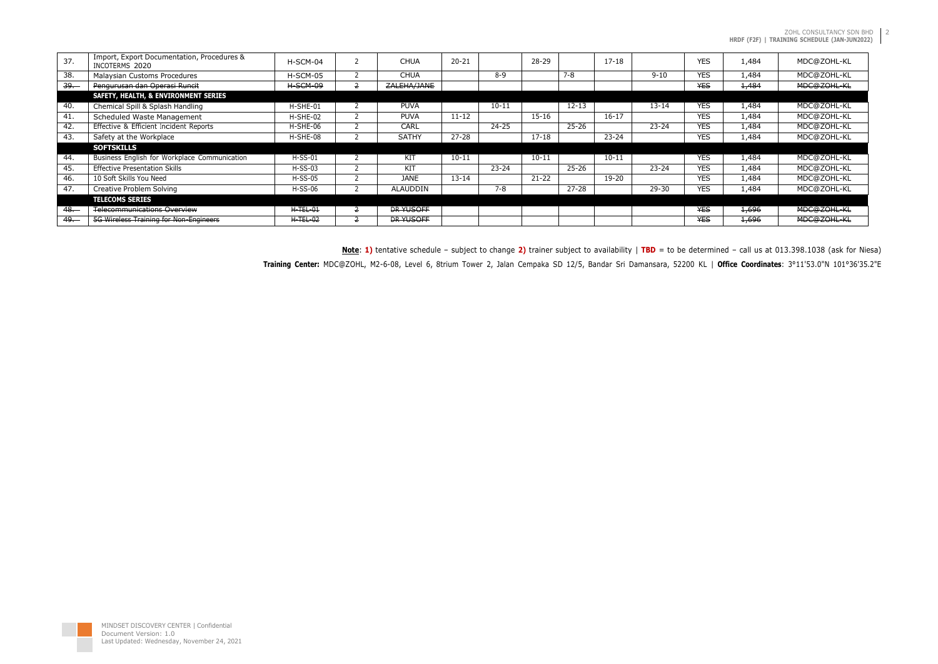| 37.         | Import, Export Documentation, Procedures &<br>INCOTERMS 2020 | $H-SCM-04$ | <b>CHUA</b>      | $20 - 21$ |           | $28 - 29$ | $17 - 18$ |           | <b>YES</b> | 1,484 | MDC@ZOHL-KL |
|-------------|--------------------------------------------------------------|------------|------------------|-----------|-----------|-----------|-----------|-----------|------------|-------|-------------|
| 38.         | Malaysian Customs Procedures                                 | H-SCM-05   | <b>CHUA</b>      |           | $8 - 9$   | $7 - 8$   |           | $9 - 10$  | <b>YES</b> | 1,484 | MDC@ZOHL-KL |
| 39.         | Pengurusan dan Operasi Runcit                                | $H-SCM-09$ | ZALEHA/JANE      |           |           |           |           |           | <b>YES</b> | 1,484 | MDC@ZOHL-KL |
|             | <b>SAFETY, HEALTH, &amp; ENVIRONMENT SERIES</b>              |            |                  |           |           |           |           |           |            |       |             |
| 40.         | Chemical Spill & Splash Handling                             | H-SHE-01   | <b>PUVA</b>      |           | $10 - 11$ |           | $12 - 13$ | $13 - 14$ | <b>YES</b> | 1,484 | MDC@ZOHL-KL |
| 41.         | Scheduled Waste Management                                   | H-SHE-02   | <b>PUVA</b>      | $11 - 12$ |           | $15 - 16$ | $16 - 17$ |           | <b>YES</b> | 1,484 | MDC@ZOHL-KL |
| 42.         | Effective & Efficient Incident Reports                       | H-SHE-06   | CARL             |           | $24 - 25$ |           | $25 - 26$ | $23 - 24$ | <b>YES</b> | 1,484 | MDC@ZOHL-KL |
| 43.         | Safety at the Workplace                                      | H-SHE-08   | <b>SATHY</b>     | $27 - 28$ |           | $17 - 18$ | $23 - 24$ |           | <b>YES</b> | 1,484 | MDC@ZOHL-KL |
|             | <b>SOFTSKILLS</b>                                            |            |                  |           |           |           |           |           |            |       |             |
| 44.         | Business English for Workplace Communication                 | $H-SS-01$  | KIT              | $10 - 11$ |           | $10 - 11$ | $10 - 11$ |           | <b>YES</b> | 1,484 | MDC@ZOHL-KL |
| 45.         | <b>Effective Presentation Skills</b>                         | $H-SS-03$  | KIT              |           | $23 - 24$ |           | $25 - 26$ | $23 - 24$ | <b>YES</b> | 1,484 | MDC@ZOHL-KL |
| 46.         | 10 Soft Skills You Need                                      | $H-SS-05$  | <b>JANE</b>      | $13 - 14$ |           | $21 - 22$ | 19-20     |           | <b>YES</b> | 1,484 | MDC@ZOHL-KL |
| 47.         | Creative Problem Solving                                     | $H-SS-06$  | <b>ALAUDDIN</b>  |           | 7-8       |           | $27 - 28$ | 29-30     | <b>YES</b> | 1,484 | MDC@ZOHL-KL |
|             | TELECOMS SERIES                                              |            |                  |           |           |           |           |           |            |       |             |
| <u>48. </u> | <b>Telecommunications Overview</b>                           | $H-TEL-01$ | <b>DR YUSOFF</b> |           |           |           |           |           | <b>YES</b> | 1,696 | MDC@ZOHL-KL |
| 49.         | 5G Wireless Training for Non-Engineers                       | $H-TEL-02$ | <b>DR YUSOFF</b> |           |           |           |           |           | <b>YES</b> | 1,696 | MDC@ZOHL-KL |

**Note**: **1)** tentative schedule – subject to change **2)** trainer subject to availability | **TBD** = to be determined – call us at 013.398.1038 (ask for Niesa) **Training Center:** MDC@ZOHL, M2-6-08, Level 6, 8trium Tower 2, Jalan Cempaka SD 12/5, Bandar Sri Damansara, 52200 KL | **Office Coordinates**: 3°11'53.0"N 101°36'35.2"E